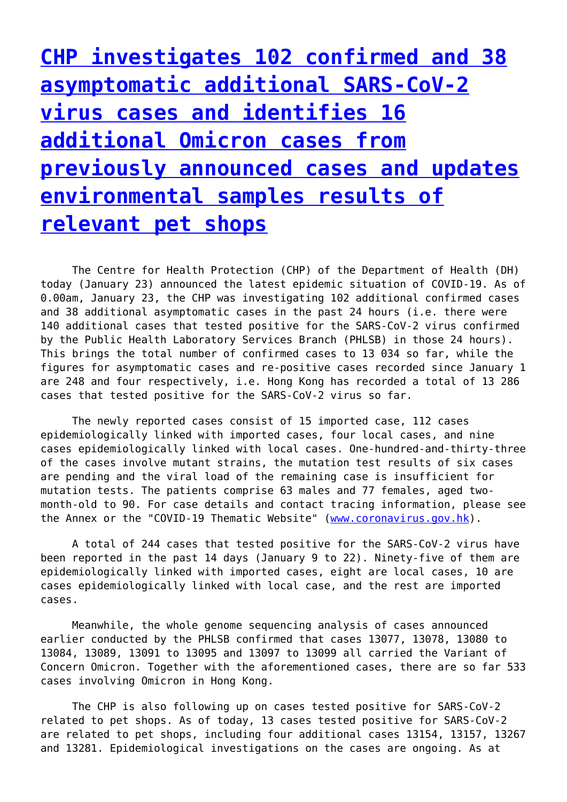**[CHP investigates 102 confirmed and 38](http://www.government-world.com/chp-investigates-102-confirmed-and-38-asymptomatic-additional-sars-cov-2-virus-cases-and-identifies-16-additional-omicron-cases-from-previously-announced-cases-and-updates-environmental-samples-result/) [asymptomatic additional SARS-CoV-2](http://www.government-world.com/chp-investigates-102-confirmed-and-38-asymptomatic-additional-sars-cov-2-virus-cases-and-identifies-16-additional-omicron-cases-from-previously-announced-cases-and-updates-environmental-samples-result/) [virus cases and identifies 16](http://www.government-world.com/chp-investigates-102-confirmed-and-38-asymptomatic-additional-sars-cov-2-virus-cases-and-identifies-16-additional-omicron-cases-from-previously-announced-cases-and-updates-environmental-samples-result/) [additional Omicron cases from](http://www.government-world.com/chp-investigates-102-confirmed-and-38-asymptomatic-additional-sars-cov-2-virus-cases-and-identifies-16-additional-omicron-cases-from-previously-announced-cases-and-updates-environmental-samples-result/) [previously announced cases and updates](http://www.government-world.com/chp-investigates-102-confirmed-and-38-asymptomatic-additional-sars-cov-2-virus-cases-and-identifies-16-additional-omicron-cases-from-previously-announced-cases-and-updates-environmental-samples-result/) [environmental samples results of](http://www.government-world.com/chp-investigates-102-confirmed-and-38-asymptomatic-additional-sars-cov-2-virus-cases-and-identifies-16-additional-omicron-cases-from-previously-announced-cases-and-updates-environmental-samples-result/) [relevant pet shops](http://www.government-world.com/chp-investigates-102-confirmed-and-38-asymptomatic-additional-sars-cov-2-virus-cases-and-identifies-16-additional-omicron-cases-from-previously-announced-cases-and-updates-environmental-samples-result/)**

 The Centre for Health Protection (CHP) of the Department of Health (DH) today (January 23) announced the latest epidemic situation of COVID-19. As of 0.00am, January 23, the CHP was investigating 102 additional confirmed cases and 38 additional asymptomatic cases in the past 24 hours (i.e. there were 140 additional cases that tested positive for the SARS-CoV-2 virus confirmed by the Public Health Laboratory Services Branch (PHLSB) in those 24 hours). This brings the total number of confirmed cases to 13 034 so far, while the figures for asymptomatic cases and re-positive cases recorded since January 1 are 248 and four respectively, i.e. Hong Kong has recorded a total of 13 286 cases that tested positive for the SARS-CoV-2 virus so far.

 The newly reported cases consist of 15 imported case, 112 cases epidemiologically linked with imported cases, four local cases, and nine cases epidemiologically linked with local cases. One-hundred-and-thirty-three of the cases involve mutant strains, the mutation test results of six cases are pending and the viral load of the remaining case is insufficient for mutation tests. The patients comprise 63 males and 77 females, aged twomonth-old to 90. For case details and contact tracing information, please see the Annex or the "COVID-19 Thematic Website" [\(www.coronavirus.gov.hk\)](https://www.coronavirus.gov.hk/eng/index.html).

 A total of 244 cases that tested positive for the SARS-CoV-2 virus have been reported in the past 14 days (January 9 to 22). Ninety-five of them are epidemiologically linked with imported cases, eight are local cases, 10 are cases epidemiologically linked with local case, and the rest are imported cases.

 Meanwhile, the whole genome sequencing analysis of cases announced earlier conducted by the PHLSB confirmed that cases 13077, 13078, 13080 to 13084, 13089, 13091 to 13095 and 13097 to 13099 all carried the Variant of Concern Omicron. Together with the aforementioned cases, there are so far 533 cases involving Omicron in Hong Kong.

 The CHP is also following up on cases tested positive for SARS-CoV-2 related to pet shops. As of today, 13 cases tested positive for SARS-CoV-2 are related to pet shops, including four additional cases 13154, 13157, 13267 and 13281. Epidemiological investigations on the cases are ongoing. As at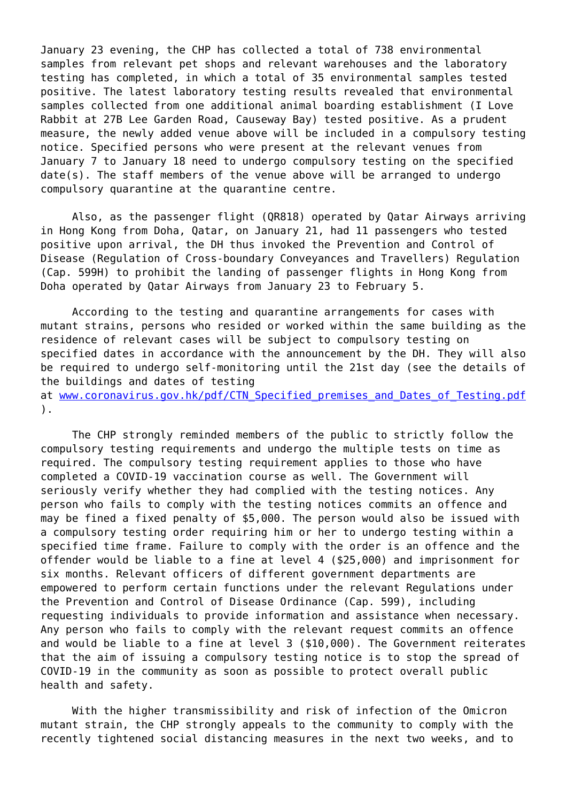January 23 evening, the CHP has collected a total of 738 environmental samples from relevant pet shops and relevant warehouses and the laboratory testing has completed, in which a total of 35 environmental samples tested positive. The latest laboratory testing results revealed that environmental samples collected from one additional animal boarding establishment (I Love Rabbit at 27B Lee Garden Road, Causeway Bay) tested positive. As a prudent measure, the newly added venue above will be included in a compulsory testing notice. Specified persons who were present at the relevant venues from January 7 to January 18 need to undergo compulsory testing on the specified date(s). The staff members of the venue above will be arranged to undergo compulsory quarantine at the quarantine centre.

 Also, as the passenger flight (QR818) operated by Qatar Airways arriving in Hong Kong from Doha, Qatar, on January 21, had 11 passengers who tested positive upon arrival, the DH thus invoked the Prevention and Control of Disease (Regulation of Cross-boundary Conveyances and Travellers) Regulation (Cap. 599H) to prohibit the landing of passenger flights in Hong Kong from Doha operated by Qatar Airways from January 23 to February 5.

 According to the testing and quarantine arrangements for cases with mutant strains, persons who resided or worked within the same building as the residence of relevant cases will be subject to compulsory testing on specified dates in accordance with the announcement by the DH. They will also be required to undergo self-monitoring until the 21st day (see the details of the buildings and dates of testing

at www.coronavirus.gov.hk/pdf/CTN Specified premises and Dates of Testing.pdf ).

 The CHP strongly reminded members of the public to strictly follow the compulsory testing requirements and undergo the multiple tests on time as required. The compulsory testing requirement applies to those who have completed a COVID-19 vaccination course as well. The Government will seriously verify whether they had complied with the testing notices. Any person who fails to comply with the testing notices commits an offence and may be fined a fixed penalty of \$5,000. The person would also be issued with a compulsory testing order requiring him or her to undergo testing within a specified time frame. Failure to comply with the order is an offence and the offender would be liable to a fine at level 4 (\$25,000) and imprisonment for six months. Relevant officers of different government departments are empowered to perform certain functions under the relevant Regulations under the Prevention and Control of Disease Ordinance (Cap. 599), including requesting individuals to provide information and assistance when necessary. Any person who fails to comply with the relevant request commits an offence and would be liable to a fine at level 3 (\$10,000). The Government reiterates that the aim of issuing a compulsory testing notice is to stop the spread of COVID-19 in the community as soon as possible to protect overall public health and safety.

 With the higher transmissibility and risk of infection of the Omicron mutant strain, the CHP strongly appeals to the community to comply with the recently tightened social distancing measures in the next two weeks, and to